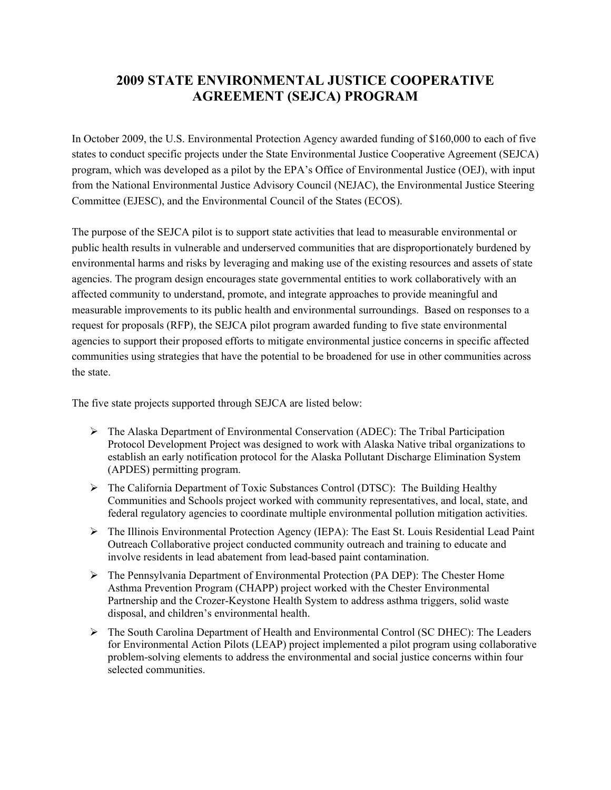# **2009 STATE ENVIRONMENTAL JUSTICE COOPERATIVE AGREEMENT (SEJCA) PROGRAM**

In October 2009, the U.S. Environmental Protection Agency awarded funding of \$160,000 to each of five states to conduct specific projects under the State Environmental Justice Cooperative Agreement (SEJCA) program, which was developed as a pilot by the EPA's Office of Environmental Justice (OEJ), with input from the National Environmental Justice Advisory Council (NEJAC), the Environmental Justice Steering Committee (EJESC), and the Environmental Council of the States (ECOS).

The purpose of the SEJCA pilot is to support state activities that lead to measurable environmental or public health results in vulnerable and underserved communities that are disproportionately burdened by environmental harms and risks by leveraging and making use of the existing resources and assets of state agencies. The program design encourages state governmental entities to work collaboratively with an affected community to understand, promote, and integrate approaches to provide meaningful and measurable improvements to its public health and environmental surroundings. Based on responses to a request for proposals (RFP), the SEJCA pilot program awarded funding to five state environmental agencies to support their proposed efforts to mitigate environmental justice concerns in specific affected communities using strategies that have the potential to be broadened for use in other communities across the state.

The five state projects supported through SEJCA are listed below:

- $\triangleright$  The Alaska Department of Environmental Conservation (ADEC): The Tribal Participation Protocol Development Project was designed to work with Alaska Native tribal organizations to establish an early notification protocol for the Alaska Pollutant Discharge Elimination System (APDES) permitting program.
- The California Department of Toxic Substances Control (DTSC): The Building Healthy Communities and Schools project worked with community representatives, and local, state, and federal regulatory agencies to coordinate multiple environmental pollution mitigation activities.
- The Illinois Environmental Protection Agency (IEPA): The East St. Louis Residential Lead Paint Outreach Collaborative project conducted community outreach and training to educate and involve residents in lead abatement from lead-based paint contamination.
- The Pennsylvania Department of Environmental Protection (PA DEP): The Chester Home Asthma Prevention Program (CHAPP) project worked with the Chester Environmental Partnership and the Crozer-Keystone Health System to address asthma triggers, solid waste disposal, and children's environmental health.
- The South Carolina Department of Health and Environmental Control (SC DHEC): The Leaders for Environmental Action Pilots (LEAP) project implemented a pilot program using collaborative problem-solving elements to address the environmental and social justice concerns within four selected communities.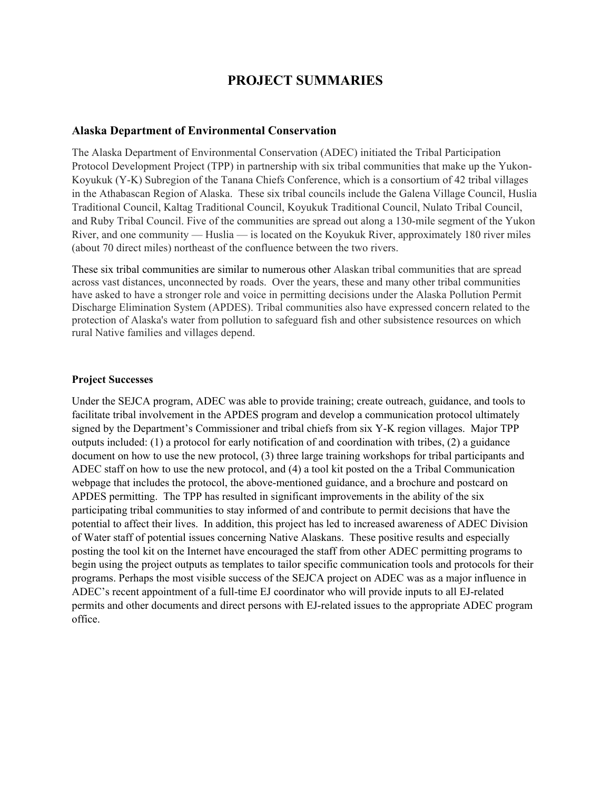## **PROJECT SUMMARIES**

#### **Alaska Department of Environmental Conservation**

 River, and one community — Huslia — is located on the Koyukuk River, approximately 180 river miles The Alaska Department of Environmental Conservation (ADEC) initiated the Tribal Participation Protocol Development Project (TPP) in partnership with six tribal communities that make up the Yukon-Koyukuk (Y-K) Subregion of the Tanana Chiefs Conference, which is a consortium of 42 tribal villages in the Athabascan Region of Alaska. These six tribal councils include the Galena Village Council, Huslia Traditional Council, Kaltag Traditional Council, Koyukuk Traditional Council, Nulato Tribal Council, and Ruby Tribal Council. Five of the communities are spread out along a 130-mile segment of the Yukon (about 70 direct miles) northeast of the confluence between the two rivers.

 protection of Alaska's water from pollution to safeguard fish and other subsistence resources on which These six tribal communities are similar to numerous other Alaskan tribal communities that are spread across vast distances, unconnected by roads. Over the years, these and many other tribal communities have asked to have a stronger role and voice in permitting decisions under the Alaska Pollution Permit Discharge Elimination System (APDES). Tribal communities also have expressed concern related to the rural Native families and villages depend.

#### **Project Successes**

 signed by the Department's Commissioner and tribal chiefs from six Y-K region villages. Major TPP of Water staff of potential issues concerning Native Alaskans. These positive results and especially Under the SEJCA program, ADEC was able to provide training; create outreach, guidance, and tools to facilitate tribal involvement in the APDES program and develop a communication protocol ultimately outputs included: (1) a protocol for early notification of and coordination with tribes, (2) a guidance document on how to use the new protocol, (3) three large training workshops for tribal participants and ADEC staff on how to use the new protocol, and (4) a tool kit posted on the a Tribal Communication webpage that includes the protocol, the above-mentioned guidance, and a brochure and postcard on APDES permitting. The TPP has resulted in significant improvements in the ability of the six participating tribal communities to stay informed of and contribute to permit decisions that have the potential to affect their lives. In addition, this project has led to increased awareness of ADEC Division posting the tool kit on the Internet have encouraged the staff from other ADEC permitting programs to begin using the project outputs as templates to tailor specific communication tools and protocols for their programs. Perhaps the most visible success of the SEJCA project on ADEC was as a major influence in ADEC's recent appointment of a full-time EJ coordinator who will provide inputs to all EJ-related permits and other documents and direct persons with EJ-related issues to the appropriate ADEC program office.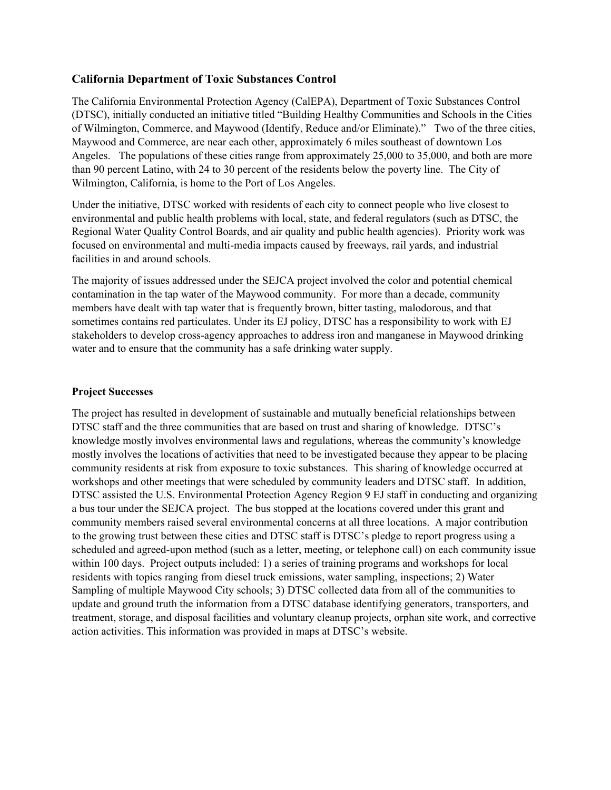## **California Department of Toxic Substances Control**

 The California Environmental Protection Agency (CalEPA), Department of Toxic Substances Control of Wilmington, Commerce, and Maywood (Identify, Reduce and/or Eliminate)." Two of the three cities, (DTSC), initially conducted an initiative titled "Building Healthy Communities and Schools in the Cities Maywood and Commerce, are near each other, approximately 6 miles southeast of downtown Los Angeles. The populations of these cities range from approximately 25,000 to 35,000, and both are more than 90 percent Latino, with 24 to 30 percent of the residents below the poverty line. The City of Wilmington, California, is home to the Port of Los Angeles.

facilities in and around schools. Under the initiative, DTSC worked with residents of each city to connect people who live closest to environmental and public health problems with local, state, and federal regulators (such as DTSC, the Regional Water Quality Control Boards, and air quality and public health agencies). Priority work was focused on environmental and multi-media impacts caused by freeways, rail yards, and industrial

The majority of issues addressed under the SEJCA project involved the color and potential chemical contamination in the tap water of the Maywood community. For more than a decade, community members have dealt with tap water that is frequently brown, bitter tasting, malodorous, and that sometimes contains red particulates. Under its EJ policy, DTSC has a responsibility to work with EJ stakeholders to develop cross-agency approaches to address iron and manganese in Maywood drinking water and to ensure that the community has a safe drinking water supply.

#### **Project Successes**

 within 100 days. Project outputs included: 1) a series of training programs and workshops for local action activities. This information was provided in maps at DTSC's website. The project has resulted in development of sustainable and mutually beneficial relationships between DTSC staff and the three communities that are based on trust and sharing of knowledge. DTSC's knowledge mostly involves environmental laws and regulations, whereas the community's knowledge mostly involves the locations of activities that need to be investigated because they appear to be placing community residents at risk from exposure to toxic substances. This sharing of knowledge occurred at workshops and other meetings that were scheduled by community leaders and DTSC staff. In addition, DTSC assisted the U.S. Environmental Protection Agency Region 9 EJ staff in conducting and organizing a bus tour under the SEJCA project. The bus stopped at the locations covered under this grant and community members raised several environmental concerns at all three locations. A major contribution to the growing trust between these cities and DTSC staff is DTSC's pledge to report progress using a scheduled and agreed-upon method (such as a letter, meeting, or telephone call) on each community issue residents with topics ranging from diesel truck emissions, water sampling, inspections; 2) Water Sampling of multiple Maywood City schools; 3) DTSC collected data from all of the communities to update and ground truth the information from a DTSC database identifying generators, transporters, and treatment, storage, and disposal facilities and voluntary cleanup projects, orphan site work, and corrective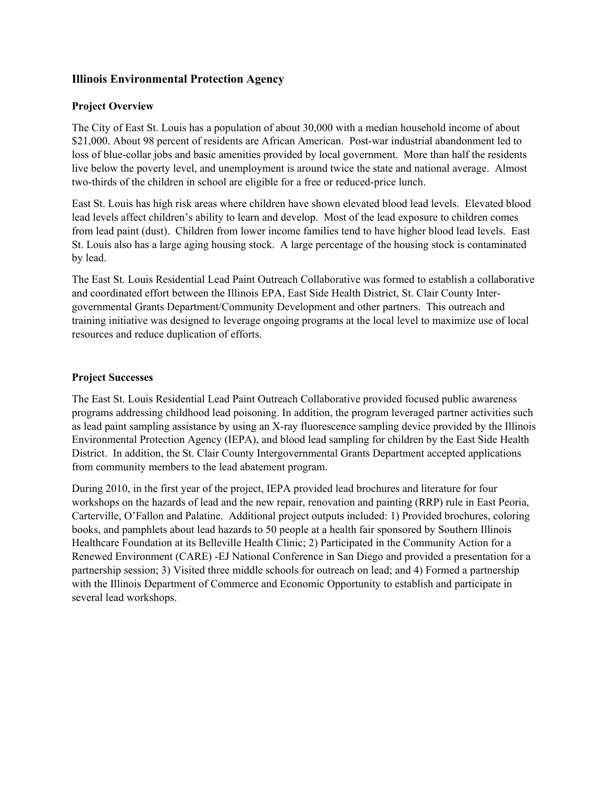## **Illinois Environmental Protection Agency**

#### **Project Overview**

 loss of blue-collar jobs and basic amenities provided by local government. More than half the residents The City of East St. Louis has a population of about 30,000 with a median household income of about \$21,000. About 98 percent of residents are African American. Post-war industrial abandonment led to live below the poverty level, and unemployment is around twice the state and national average. Almost two-thirds of the children in school are eligible for a free or reduced-price lunch.

 St. Louis also has a large aging housing stock. A large percentage of the housing stock is contaminated by lead. East St. Louis has high risk areas where children have shown elevated blood lead levels. Elevated blood lead levels affect children's ability to learn and develop. Most of the lead exposure to children comes from lead paint (dust). Children from lower income families tend to have higher blood lead levels. East

The East St. Louis Residential Lead Paint Outreach Collaborative was formed to establish a collaborative and coordinated effort between the Illinois EPA, East Side Health District, St. Clair County Intergovernmental Grants Department/Community Development and other partners. This outreach and training initiative was designed to leverage ongoing programs at the local level to maximize use of local resources and reduce duplication of efforts.

#### **Project Successes**

The East St. Louis Residential Lead Paint Outreach Collaborative provided focused public awareness programs addressing childhood lead poisoning. In addition, the program leveraged partner activities such as lead paint sampling assistance by using an X-ray fluorescence sampling device provided by the Illinois Environmental Protection Agency (IEPA), and blood lead sampling for children by the East Side Health District. In addition, the St. Clair County Intergovernmental Grants Department accepted applications from community members to the lead abatement program.

During 2010, in the first year of the project, IEPA provided lead brochures and literature for four workshops on the hazards of lead and the new repair, renovation and painting (RRP) rule in East Peoria, Carterville, O'Fallon and Palatine. Additional project outputs included: 1) Provided brochures, coloring books, and pamphlets about lead hazards to 50 people at a health fair sponsored by Southern Illinois Healthcare Foundation at its Belleville Health Clinic; 2) Participated in the Community Action for a Renewed Environment (CARE) -EJ National Conference in San Diego and provided a presentation for a partnership session; 3) Visited three middle schools for outreach on lead; and 4) Formed a partnership with the Illinois Department of Commerce and Economic Opportunity to establish and participate in several lead workshops.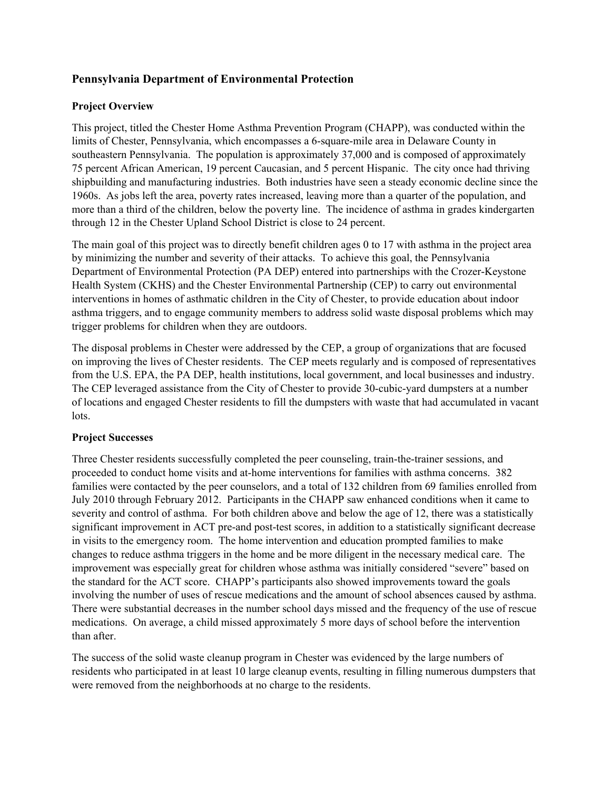## **Pennsylvania Department of Environmental Protection**

#### **Project Overview**

through 12 in the Chester Upland School District is close to 24 percent. This project, titled the Chester Home Asthma Prevention Program (CHAPP), was conducted within the limits of Chester, Pennsylvania, which encompasses a 6-square-mile area in Delaware County in southeastern Pennsylvania. The population is approximately 37,000 and is composed of approximately 75 percent African American, 19 percent Caucasian, and 5 percent Hispanic. The city once had thriving shipbuilding and manufacturing industries. Both industries have seen a steady economic decline since the 1960s. As jobs left the area, poverty rates increased, leaving more than a quarter of the population, and more than a third of the children, below the poverty line. The incidence of asthma in grades kindergarten

trigger problems for children when they are outdoors. The main goal of this project was to directly benefit children ages 0 to 17 with asthma in the project area by minimizing the number and severity of their attacks. To achieve this goal, the Pennsylvania Department of Environmental Protection (PA DEP) entered into partnerships with the Crozer-Keystone Health System (CKHS) and the Chester Environmental Partnership (CEP) to carry out environmental interventions in homes of asthmatic children in the City of Chester, to provide education about indoor asthma triggers, and to engage community members to address solid waste disposal problems which may

The disposal problems in Chester were addressed by the CEP, a group of organizations that are focused on improving the lives of Chester residents. The CEP meets regularly and is composed of representatives from the U.S. EPA, the PA DEP, health institutions, local government, and local businesses and industry. The CEP leveraged assistance from the City of Chester to provide 30-cubic-yard dumpsters at a number of locations and engaged Chester residents to fill the dumpsters with waste that had accumulated in vacant lots.

#### **Project Successes**

 July 2010 through February 2012. Participants in the CHAPP saw enhanced conditions when it came to than after. Three Chester residents successfully completed the peer counseling, train-the-trainer sessions, and proceeded to conduct home visits and at-home interventions for families with asthma concerns. 382 families were contacted by the peer counselors, and a total of 132 children from 69 families enrolled from severity and control of asthma. For both children above and below the age of 12, there was a statistically significant improvement in ACT pre-and post-test scores, in addition to a statistically significant decrease in visits to the emergency room. The home intervention and education prompted families to make changes to reduce asthma triggers in the home and be more diligent in the necessary medical care. The improvement was especially great for children whose asthma was initially considered "severe" based on the standard for the ACT score. CHAPP's participants also showed improvements toward the goals involving the number of uses of rescue medications and the amount of school absences caused by asthma. There were substantial decreases in the number school days missed and the frequency of the use of rescue medications. On average, a child missed approximately 5 more days of school before the intervention

The success of the solid waste cleanup program in Chester was evidenced by the large numbers of residents who participated in at least 10 large cleanup events, resulting in filling numerous dumpsters that were removed from the neighborhoods at no charge to the residents.